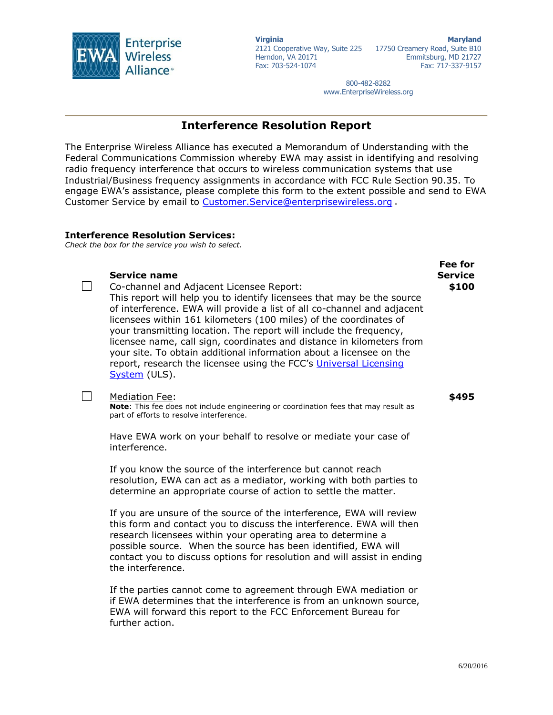

**Virginia** 2121 Cooperative Way, Suite 225 17750 Creamery Road, Suite B10 Herndon, VA 20171 Fax: 703-524-1074 **Maryland** Emmitsburg, MD 21727 Fax: 717-337-9157

> 800-482-8282 www.EnterpriseWireless.org

## **Interference Resolution Report**

The Enterprise Wireless Alliance has executed a Memorandum of Understanding with the Federal Communications Commission whereby EWA may assist in identifying and resolving radio frequency interference that occurs to wireless communication systems that use Industrial/Business frequency assignments in accordance with FCC Rule Section 90.35. To engage EWA's assistance, please complete this form to the extent possible and send to EWA Customer Service by email to Customer. Service@enterprisewireless.org.

## **Interference Resolution Services:**

*Check the box for the service you wish to select.*

## **Service name**

 $\Box$ 

Co-channel and Adjacent Licensee Report:

This report will help you to identify licensees that may be the source of interference. EWA will provide a list of all co-channel and adjacent licensees within 161 kilometers (100 miles) of the coordinates of your transmitting location. The report will include the frequency, licensee name, call sign, coordinates and distance in kilometers from your site. To obtain additional information about a licensee on the report, research the licensee using the FCC's Universal Licensing [System](http://wireless.fcc.gov/uls/index.htm?job=home) (ULS).

## $\Box$ Mediation Fee:

**Note**: This fee does not include engineering or coordination fees that may result as part of efforts to resolve interference.

Have EWA work on your behalf to resolve or mediate your case of interference.

If you know the source of the interference but cannot reach resolution, EWA can act as a mediator, working with both parties to determine an appropriate course of action to settle the matter.

If you are unsure of the source of the interference, EWA will review this form and contact you to discuss the interference. EWA will then research licensees within your operating area to determine a possible source. When the source has been identified, EWA will contact you to discuss options for resolution and will assist in ending the interference.

If the parties cannot come to agreement through EWA mediation or if EWA determines that the interference is from an unknown source, EWA will forward this report to the FCC Enforcement Bureau for further action.

**Fee for Service**

**\$100**

**\$495**